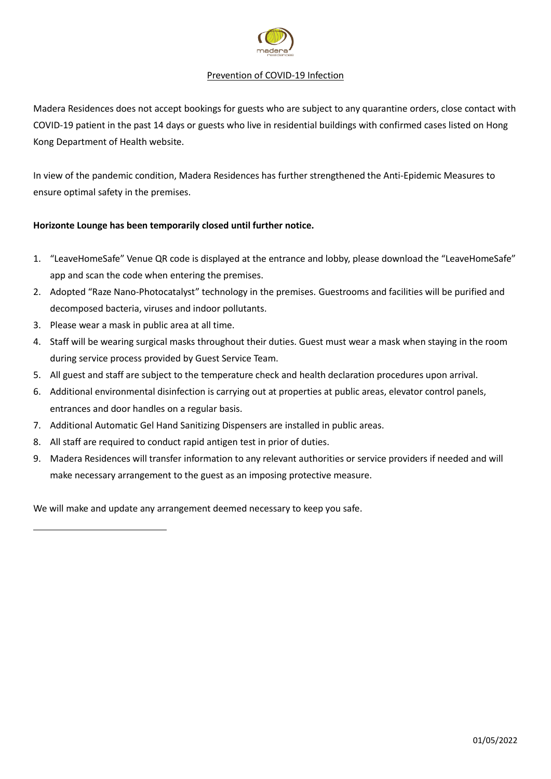

## Prevention of COVID-19 Infection

Madera Residences does not accept bookings for guests who are subject to any quarantine orders, close contact with COVID-19 patient in the past 14 days or guests who live in residential buildings with confirmed cases listed on Hong Kong Department of Health website.

In view of the pandemic condition, Madera Residences has further strengthened the Anti-Epidemic Measures to ensure optimal safety in the premises.

# **Horizonte Lounge has been temporarily closed until further notice.**

- 1. "LeaveHomeSafe" Venue QR code is displayed at the entrance and lobby, please download the "LeaveHomeSafe" app and scan the code when entering the premises.
- 2. Adopted "Raze Nano-Photocatalyst" technology in the premises. Guestrooms and facilities will be purified and decomposed bacteria, viruses and indoor pollutants.
- 3. Please wear a mask in public area at all time.
- 4. Staff will be wearing surgical masks throughout their duties. Guest must wear a mask when staying in the room during service process provided by Guest Service Team.
- 5. All guest and staff are subject to the temperature check and health declaration procedures upon arrival.
- 6. Additional environmental disinfection is carrying out at properties at public areas, elevator control panels, entrances and door handles on a regular basis.
- 7. Additional Automatic Gel Hand Sanitizing Dispensers are installed in public areas.
- 8. All staff are required to conduct rapid antigen test in prior of duties.
- 9. Madera Residences will transfer information to any relevant authorities or service providers if needed and will make necessary arrangement to the guest as an imposing protective measure.

We will make and update any arrangement deemed necessary to keep you safe.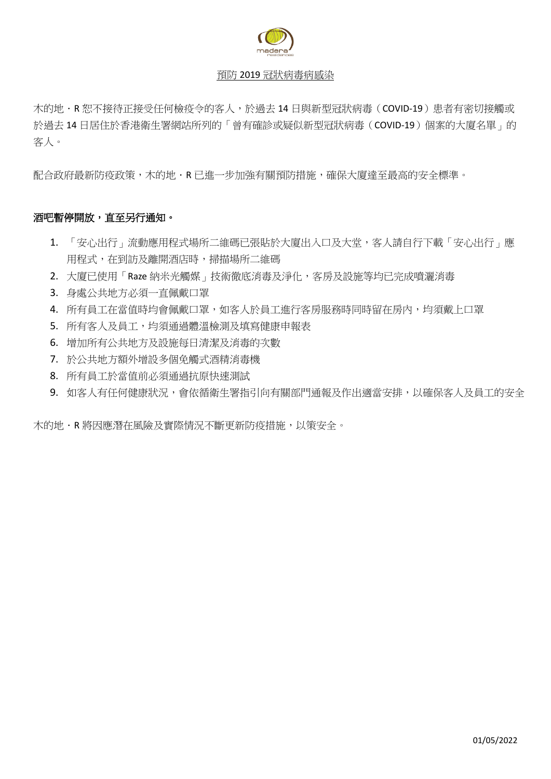

# 預防 2019 冠狀病毒病感染

木的地 · R 恕不接待正接受任何檢疫令的客人,於過去 14 日與新型冠狀病毒(COVID-19)患者有密切接觸或 於過去 14 日居住於香港衛生署網站所列的「曾有確診或疑似新型冠狀病毒(COVID-19)個案的大廈名單」的 客人。

配合政府最新防疫政策,木的地·R 已進一步加強有關預防措施,確保大廈達至最高的安全標準。

# 酒吧暫停開放,直至另行通知。

- 1. 「安心出行」流動應用程式場所二維碼已張貼於大廈出入口及大堂,客人請自行下載「安心出行」應 用程式,在到訪及離開酒店時,掃描場所二維碼
- 2. 大廈已使用「Raze 納米光觸媒」技術徹底消毒及淨化,客房及設施等均已完成噴灑消毒
- 3. 身處公共地方必須一直佩戴口罩
- 4. 所有員工在當值時均會佩戴口罩,如客人於員工進行客房服務時同時留在房內,均須戴上口罩
- 5. 所有客人及員工,均須通過體溫檢測及填寫健康申報表
- 6. 增加所有公共地方及設施每日清潔及消毒的次數
- 7. 於公共地方額外增設多個免觸式酒精消毒機
- 8. 所有員工於當值前必須通過抗原快速測試
- 9. 如客人有任何健康狀況,會依循衛生署指引向有關部門通報及作出適當安排,以確保客人及員工的安全

木的地.R 將因應潛在風險及實際情況不斷更新防疫措施,以策安全。